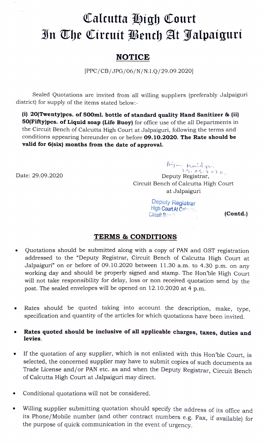## Calcutta High Court n The Cireuit Bench At Jalpaiguri

## **NOTICE**

PPC/CB/JPG/06/N/N.I.Q/29.09.2020]

Sealed Quotations are invited from all willing suppliers (preferably Jalpaiguri district) for supply of the items stated below:-

i) 20(Twenty)pcs. of 500ml. bottle of standard quality Hand Sanitizer & (ii) 50(Fifty)pcs. of Liquid soap (Life Buoy) for office use of the all Departments in the Circuit Bench of Calcutta High Court at Jalpaiguri, following the terms and conditions appearing hereunder on or before 09.10.2020. The Rate should be valid for 6(six) months from the date of approval.

 $\beta$ ija Maidon Date: 29.09.2020 Deputy Registrar, Circuit Bench of Calcutta High Court at Jalpaiguri

> Deputy Registrar<br>High Court At Calcutta Circuit Bench

## TERMS & CONDITIONS

- Quotations should be submitted along with a copy of PAN and GST registration  $\bullet$ addressed to the "Deputy Registrar, Circuit Bench of Calcutta High Court at Jalpaiguri" on or before of 09.10.2020 between 11.30 a.m. to 4.30 p.m. on any working day and should be properly signed and stamp. The Hon'ble High Court will not take responsibility for delay, loss or non received quotation send by the post. The sealed envelopes will be opened on 12. 10.2020 at 4 p.m.
- Rates should be quoted taking into account the description, make, type, specification and quantity of the articles for which quotations have been invited.
- Rates quoted should be inclusive of all applicable charges, taxes, duties and levies.
- If the quotation of any supplier, which is not enlisted with this Hon'ble Court, is selected, the concerned supplier may have to submit copies of such documents as Trade License and/or PAN etc. as and when the Deputy Registrar, Circuit Bench of Calcutta High Court at Jalpaiguri may direct.
- Conditional quotations will not be considered.
- Willing supplier submitting quotation should specify the address of its office and its Phone/Mobile number (and other contract numbers e.g. Fax, if available) for the purpose of quick communication in the event of urgency.